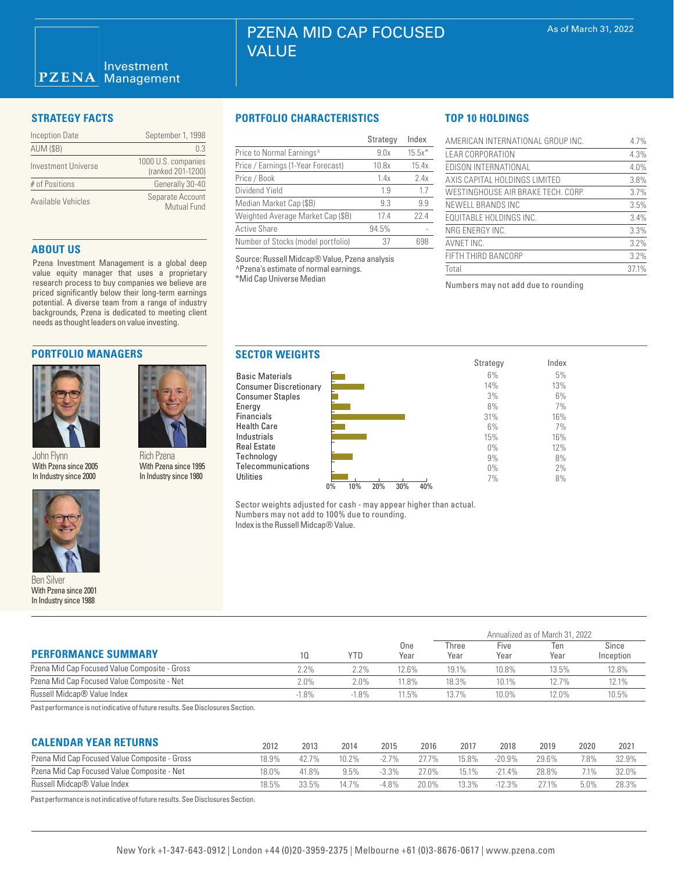| <b>Inception Date</b> | September 1, 1998                        |
|-----------------------|------------------------------------------|
| <b>AUM (\$B)</b>      | 0.3                                      |
| Investment Universe   | 1000 U.S. companies<br>(ranked 201-1200) |
| # of Positions        | Generally 30-40                          |
| Available Vehicles    | Separate Account<br><b>Mutual Fund</b>   |

### **ABOUT US**

Pzena Investment Management is a global deep value equity manager that uses a proprietary research process to buy companies we believe are priced significantly below their long-term earnings potential. A diverse team from a range of industry backgrounds, Pzena is dedicated to meeting client needs as thought leaders on value investing.

# **PORTFOLIO MANAGERS**



John Flynn With Pzena since 2005 In Industry since 2000



Ben Silver With Pzena since 2001 In Industry since 1988

## **STRATEGY FACTS PORTFOLIO CHARACTERISTICS**

|                                    | Strategy | Index    |
|------------------------------------|----------|----------|
| Price to Normal Earnings^          | 9.0x     | $15.5x*$ |
| Price / Earnings (1-Year Forecast) | 10.8x    | 15.4x    |
| Price / Book                       | 1.4x     | 2.4x     |
| Dividend Yield                     | 19       | 1.7      |
| Median Market Cap (\$B)            | 9.3      | 9.9      |
| Weighted Average Market Cap (\$B)  | 174      | 22.4     |
| <b>Active Share</b>                | 94.5%    |          |
| Number of Stocks (model portfolio) | 37       | 698      |

Source: Russell Midcap® Value, Pzena analysis ^Pzena's estimate of normal earnings. \*Mid Cap Universe Median

# **TOP 10 HOLDINGS**

| AMERICAN INTERNATIONAL GROUP INC.  | 4.7%  |
|------------------------------------|-------|
| <b>LEAR CORPORATION</b>            | 4.3%  |
| EDISON INTERNATIONAL               | 4.0%  |
| AXIS CAPITAL HOLDINGS LIMITED      | 3.8%  |
| WESTINGHOUSE AIR BRAKE TECH. CORP. | 3.7%  |
| NEWELL BRANDS INC                  | 3.5%  |
| <b>EQUITABLE HOLDINGS INC.</b>     | 3.4%  |
| NRG ENERGY INC.                    | 3.3%  |
| AVNET INC.                         | 3.2%  |
| FIFTH THIRD BANCORP                | 3.2%  |
| Total                              | 37.1% |

Numbers may not add due to rounding



Sector weights adjusted for cash - may appear higher than actual. Numbers may not add to 100% due to rounding. Index is the Russell Midcap® Value.

| <b>PERFORMANCE SUMMARY</b>                                                        |          | YTD.    | One<br>Year | Annualized as of March 31, 2022 |              |             |                    |  |
|-----------------------------------------------------------------------------------|----------|---------|-------------|---------------------------------|--------------|-------------|--------------------|--|
|                                                                                   |          |         |             | Three<br>Year                   | Five<br>Year | Ten<br>Year | Since<br>Inception |  |
| Pzena Mid Cap Focused Value Composite - Gross                                     | 2.2%     | 2.2%    | 12.6%       | 19.1%                           | 10.8%        | 13.5%       | 12.8%              |  |
| Pzena Mid Cap Focused Value Composite - Net                                       | $2.0\%$  | $2.0\%$ | 11.8%       | 18.3%                           | 10.1%        | 12.7%       | 12.1%              |  |
| Russell Midcap® Value Index                                                       | $-1.8\%$ | $-1.8%$ | 11.5%       | 13.7%                           | 10.0%        | 12.0%       | 10.5%              |  |
| Deska aufanna an an tamakhalta aithe aitheann na achan. Ona Diadachada a Ocaliana |          |         |             |                                 |              |             |                    |  |

Past performance is not indicative of future results. See Disclosures Section.

Rich Pzena With Pzena since 1995 In Industry since 1980

# **CALENDAR YEAR RETURNS**

| <b>UALENDAN TEAN NETUNIVO</b>                 | 2012  | 2013    | 2014     | 2015     | 2016     | 2017  | 2018      | 2019  | 2020 | 2021  |
|-----------------------------------------------|-------|---------|----------|----------|----------|-------|-----------|-------|------|-------|
| Pzena Mid Cap Focused Value Composite - Gross | 18.9% | $427\%$ | $10.2\%$ | $-2.7\%$ | 27.7%    | 15.8% | $-20.9\%$ | 29.6% | 7.8% | 32.9% |
| Pzena Mid Cap Focused Value Composite - Net   | 18.0% | 41.8%   | 9.5%     | $-3.3\%$ | $27.0\%$ | 15.1% | $-214%$   | 28.8% |      |       |
| Russell Midcap® Value Index                   | 18.5% | 33.5%   | 14 7%    | -4.8%    | 20.0%    | 13.3% | $-12.3%$  | 271%  | 5.0% | 28.3% |
|                                               |       |         |          |          |          |       |           |       |      |       |

Past performance is not indicative of future results. See Disclosures Section.